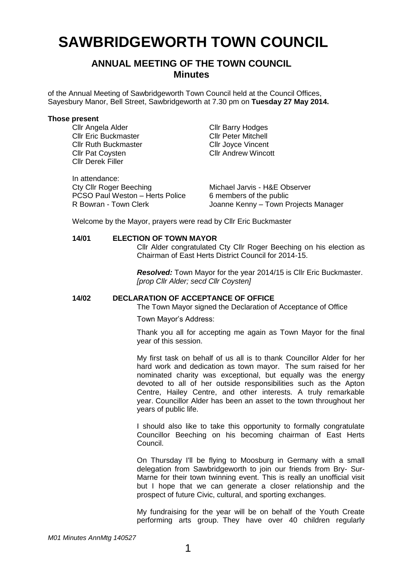# **SAWBRIDGEWORTH TOWN COUNCIL**

# **ANNUAL MEETING OF THE TOWN COUNCIL Minutes**

of the Annual Meeting of Sawbridgeworth Town Council held at the Council Offices, Sayesbury Manor, Bell Street, Sawbridgeworth at 7.30 pm on **Tuesday 27 May 2014.**

#### **Those present**

Cllr Angela Alder Cllr Barry Hodges **Cllr Eric Buckmaster Cllr Peter Mitchell<br>
Cllr Ruth Buckmaster Cllr Jovce Vincent** Cllr Ruth Buckmaster<br>Cllr Pat Covsten Cllr Derek Filler

In attendance:

Cllr Andrew Wincott

| in attendance:                  |                                      |
|---------------------------------|--------------------------------------|
| <b>Cty Cllr Roger Beeching</b>  | Michael Jarvis - H&E Observer        |
| PCSO Paul Weston - Herts Police | 6 members of the public              |
| R Bowran - Town Clerk           | Joanne Kenny - Town Projects Manager |

Welcome by the Mayor, prayers were read by Cllr Eric Buckmaster

#### **14/01 ELECTION OF TOWN MAYOR**

Cllr Alder congratulated Cty Cllr Roger Beeching on his election as Chairman of East Herts District Council for 2014-15.

*Resolved:* Town Mayor for the year 2014/15 is Cllr Eric Buckmaster. *[prop Cllr Alder; secd Cllr Coysten]*

#### **14/02 DECLARATION OF ACCEPTANCE OF OFFICE**

The Town Mayor signed the Declaration of Acceptance of Office

Town Mayor's Address:

Thank you all for accepting me again as Town Mayor for the final year of this session.

My first task on behalf of us all is to thank Councillor Alder for her hard work and dedication as town mayor. The sum raised for her nominated charity was exceptional, but equally was the energy devoted to all of her outside responsibilities such as the Apton Centre, Hailey Centre, and other interests. A truly remarkable year. Councillor Alder has been an asset to the town throughout her years of public life.

I should also like to take this opportunity to formally congratulate Councillor Beeching on his becoming chairman of East Herts Council.

On Thursday I'll be flying to Moosburg in Germany with a small delegation from Sawbridgeworth to join our friends from Bry- Sur-Marne for their town twinning event. This is really an unofficial visit but I hope that we can generate a closer relationship and the prospect of future Civic, cultural, and sporting exchanges.

My fundraising for the year will be on behalf of the Youth Create performing arts group. They have over 40 children regularly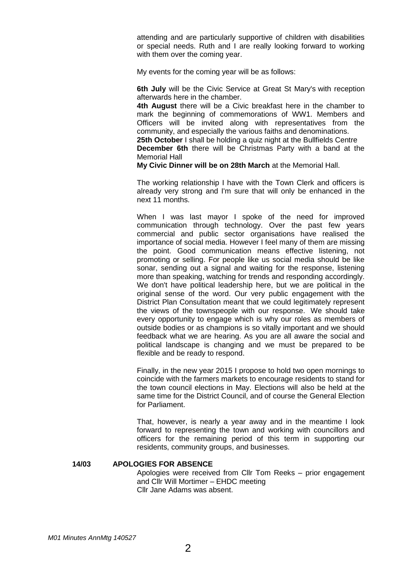attending and are particularly supportive of children with disabilities or special needs. Ruth and I are really looking forward to working with them over the coming year.

My events for the coming year will be as follows:

**6th July** will be the Civic Service at Great St Mary's with reception afterwards here in the chamber.

**4th August** there will be a Civic breakfast here in the chamber to mark the beginning of commemorations of WW1. Members and Officers will be invited along with representatives from the community, and especially the various faiths and denominations.

**25th October** I shall be holding a quiz night at the Bullfields Centre **December 6th** there will be Christmas Party with a band at the Memorial Hall

**My Civic Dinner will be on 28th March** at the Memorial Hall.

The working relationship I have with the Town Clerk and officers is already very strong and I'm sure that will only be enhanced in the next 11 months.

When I was last mayor I spoke of the need for improved communication through technology. Over the past few years commercial and public sector organisations have realised the importance of social media. However I feel many of them are missing the point. Good communication means effective listening, not promoting or selling. For people like us social media should be like sonar, sending out a signal and waiting for the response, listening more than speaking, watching for trends and responding accordingly. We don't have political leadership here, but we are political in the original sense of the word. Our very public engagement with the District Plan Consultation meant that we could legitimately represent the views of the townspeople with our response. We should take every opportunity to engage which is why our roles as members of outside bodies or as champions is so vitally important and we should feedback what we are hearing. As you are all aware the social and political landscape is changing and we must be prepared to be flexible and be ready to respond.

Finally, in the new year 2015 I propose to hold two open mornings to coincide with the farmers markets to encourage residents to stand for the town council elections in May. Elections will also be held at the same time for the District Council, and of course the General Election for Parliament.

That, however, is nearly a year away and in the meantime I look forward to representing the town and working with councillors and officers for the remaining period of this term in supporting our residents, community groups, and businesses.

#### **14/03 APOLOGIES FOR ABSENCE**

Apologies were received from Cllr Tom Reeks – prior engagement and Cllr Will Mortimer – EHDC meeting Cllr Jane Adams was absent.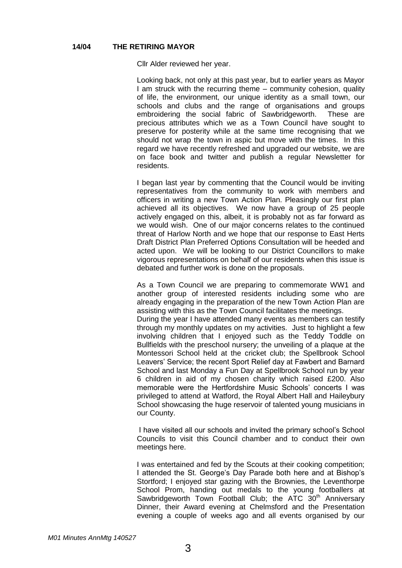Cllr Alder reviewed her year.

Looking back, not only at this past year, but to earlier years as Mayor I am struck with the recurring theme – community cohesion, quality of life, the environment, our unique identity as a small town, our schools and clubs and the range of organisations and groups embroidering the social fabric of Sawbridgeworth. These are precious attributes which we as a Town Council have sought to preserve for posterity while at the same time recognising that we should not wrap the town in aspic but move with the times. In this regard we have recently refreshed and upgraded our website, we are on face book and twitter and publish a regular Newsletter for residents.

I began last year by commenting that the Council would be inviting representatives from the community to work with members and officers in writing a new Town Action Plan. Pleasingly our first plan achieved all its objectives. We now have a group of 25 people actively engaged on this, albeit, it is probably not as far forward as we would wish. One of our major concerns relates to the continued threat of Harlow North and we hope that our response to East Herts Draft District Plan Preferred Options Consultation will be heeded and acted upon. We will be looking to our District Councillors to make vigorous representations on behalf of our residents when this issue is debated and further work is done on the proposals.

As a Town Council we are preparing to commemorate WW1 and another group of interested residents including some who are already engaging in the preparation of the new Town Action Plan are assisting with this as the Town Council facilitates the meetings. During the year I have attended many events as members can testify through my monthly updates on my activities. Just to highlight a few involving children that I enjoyed such as the Teddy Toddle on Bullfields with the preschool nursery; the unveiling of a plaque at the Montessori School held at the cricket club; the Spellbrook School Leavers' Service; the recent Sport Relief day at Fawbert and Barnard School and last Monday a Fun Day at Spellbrook School run by year 6 children in aid of my chosen charity which raised £200. Also memorable were the Hertfordshire Music Schools' concerts I was privileged to attend at Watford, the Royal Albert Hall and Haileybury School showcasing the huge reservoir of talented young musicians in our County.

I have visited all our schools and invited the primary school's School Councils to visit this Council chamber and to conduct their own meetings here.

I was entertained and fed by the Scouts at their cooking competition; I attended the St. George's Day Parade both here and at Bishop's Stortford; I enjoyed star gazing with the Brownies, the Leventhorpe School Prom, handing out medals to the young footballers at Sawbridgeworth Town Football Club; the ATC  $30<sup>th</sup>$  Anniversary Dinner, their Award evening at Chelmsford and the Presentation evening a couple of weeks ago and all events organised by our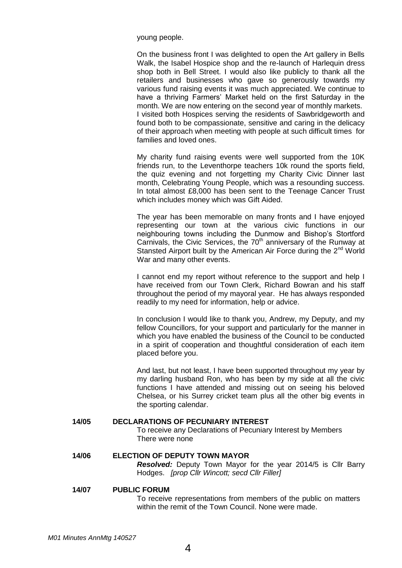young people.

On the business front I was delighted to open the Art gallery in Bells Walk, the Isabel Hospice shop and the re-launch of Harlequin dress shop both in Bell Street. I would also like publicly to thank all the retailers and businesses who gave so generously towards my various fund raising events it was much appreciated. We continue to have a thriving Farmers' Market held on the first Saturday in the month. We are now entering on the second year of monthly markets. I visited both Hospices serving the residents of Sawbridgeworth and found both to be compassionate, sensitive and caring in the delicacy of their approach when meeting with people at such difficult times for families and loved ones.

My charity fund raising events were well supported from the 10K friends run, to the Leventhorpe teachers 10k round the sports field, the quiz evening and not forgetting my Charity Civic Dinner last month, Celebrating Young People, which was a resounding success. In total almost £8,000 has been sent to the Teenage Cancer Trust which includes money which was Gift Aided.

The year has been memorable on many fronts and I have enjoyed representing our town at the various civic functions in our neighbouring towns including the Dunmow and Bishop's Stortford Carnivals, the Civic Services, the 70<sup>th</sup> anniversary of the Runway at Stansted Airport built by the American Air Force during the  $2<sup>nd</sup>$  World War and many other events.

I cannot end my report without reference to the support and help I have received from our Town Clerk, Richard Bowran and his staff throughout the period of my mayoral year. He has always responded readily to my need for information, help or advice.

In conclusion I would like to thank you, Andrew, my Deputy, and my fellow Councillors, for your support and particularly for the manner in which you have enabled the business of the Council to be conducted in a spirit of cooperation and thoughtful consideration of each item placed before you.

And last, but not least, I have been supported throughout my year by my darling husband Ron, who has been by my side at all the civic functions I have attended and missing out on seeing his beloved Chelsea, or his Surrey cricket team plus all the other big events in the sporting calendar.

#### **14/05 DECLARATIONS OF PECUNIARY INTEREST**

To receive any Declarations of Pecuniary Interest by Members There were none

### **14/06 ELECTION OF DEPUTY TOWN MAYOR**

*Resolved:* Deputy Town Mayor for the year 2014/5 is Cllr Barry Hodges. *[prop Cllr Wincott; secd Cllr Filler]*

#### **14/07 PUBLIC FORUM**

To receive representations from members of the public on matters within the remit of the Town Council. None were made.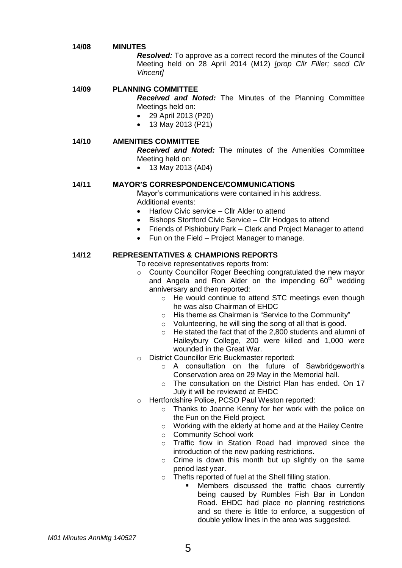#### **14/08 MINUTES**

*Resolved:* To approve as a correct record the minutes of the Council Meeting held on 28 April 2014 (M12) *[prop Cllr Filler; secd Cllr Vincent]*

#### **14/09 PLANNING COMMITTEE**

*Received and Noted:* The Minutes of the Planning Committee Meetings held on:

- 29 April 2013 (P20)
- 13 May 2013 (P21)

#### **14/10 AMENITIES COMMITTEE**

*Received and Noted:* The minutes of the Amenities Committee Meeting held on:

• 13 May 2013 (A04)

#### **14/11 MAYOR'S CORRESPONDENCE/COMMUNICATIONS**

Mayor's communications were contained in his address. Additional events:

- Harlow Civic service Cllr Alder to attend
- Bishops Stortford Civic Service Cllr Hodges to attend
- Friends of Pishiobury Park Clerk and Project Manager to attend
- Fun on the Field Project Manager to manage.

#### **14/12 REPRESENTATIVES & CHAMPIONS REPORTS**

To receive representatives reports from:

- o County Councillor Roger Beeching congratulated the new mayor and Angela and Ron Alder on the impending  $60<sup>th</sup>$  wedding anniversary and then reported:
	- o He would continue to attend STC meetings even though he was also Chairman of EHDC
	- o His theme as Chairman is "Service to the Community"
	- o Volunteering, he will sing the song of all that is good.
	- o He stated the fact that of the 2,800 students and alumni of Haileybury College, 200 were killed and 1,000 were wounded in the Great War.
- o District Councillor Eric Buckmaster reported:
	- o A consultation on the future of Sawbridgeworth's Conservation area on 29 May in the Memorial hall.
	- o The consultation on the District Plan has ended. On 17 July it will be reviewed at EHDC
- o Hertfordshire Police, PCSO Paul Weston reported:
	- o Thanks to Joanne Kenny for her work with the police on the Fun on the Field project.
	- o Working with the elderly at home and at the Hailey Centre
	- o Community School work
	- o Traffic flow in Station Road had improved since the introduction of the new parking restrictions.
	- o Crime is down this month but up slightly on the same period last year.
	- o Thefts reported of fuel at the Shell filling station.
		- Members discussed the traffic chaos currently being caused by Rumbles Fish Bar in London Road. EHDC had place no planning restrictions and so there is little to enforce, a suggestion of double yellow lines in the area was suggested.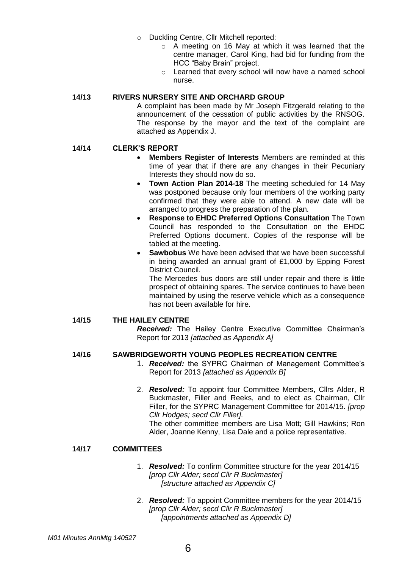- o Duckling Centre, Cllr Mitchell reported:
	- o A meeting on 16 May at which it was learned that the centre manager, Carol King, had bid for funding from the HCC "Baby Brain" project.
	- o Learned that every school will now have a named school nurse.

#### **14/13 RIVERS NURSERY SITE AND ORCHARD GROUP**

A complaint has been made by Mr Joseph Fitzgerald relating to the announcement of the cessation of public activities by the RNSOG. The response by the mayor and the text of the complaint are attached as Appendix J.

#### **14/14 CLERK'S REPORT**

- **Members Register of Interests** Members are reminded at this time of year that if there are any changes in their Pecuniary Interests they should now do so.
- **Town Action Plan 2014-18** The meeting scheduled for 14 May was postponed because only four members of the working party confirmed that they were able to attend. A new date will be arranged to progress the preparation of the plan.
- **Response to EHDC Preferred Options Consultation** The Town Council has responded to the Consultation on the EHDC Preferred Options document. Copies of the response will be tabled at the meeting.
- **Sawbobus** We have been advised that we have been successful in being awarded an annual grant of £1,000 by Epping Forest District Council.

The Mercedes bus doors are still under repair and there is little prospect of obtaining spares. The service continues to have been maintained by using the reserve vehicle which as a consequence has not been available for hire.

#### **14/15 THE HAILEY CENTRE**

*Received:* The Hailey Centre Executive Committee Chairman's Report for 2013 *[attached as Appendix A]*

#### **14/16 SAWBRIDGEWORTH YOUNG PEOPLES RECREATION CENTRE**

- 1. *Received:* the SYPRC Chairman of Management Committee's Report for 2013 *[attached as Appendix B]*
- 2. *Resolved:* To appoint four Committee Members, Cllrs Alder, R Buckmaster, Filler and Reeks, and to elect as Chairman, Cllr Filler, for the SYPRC Management Committee for 2014/15. *[prop Cllr Hodges; secd Cllr Filler].* The other committee members are Lisa Mott; Gill Hawkins; Ron Alder, Joanne Kenny, Lisa Dale and a police representative.

#### **14/17 COMMITTEES**

- 1. *Resolved:* To confirm Committee structure for the year 2014/15 *[prop Cllr Alder; secd Cllr R Buckmaster] [structure attached as Appendix C]*
- 2. *Resolved:* To appoint Committee members for the year 2014/15 *[prop Cllr Alder; secd Cllr R Buckmaster] [appointments attached as Appendix D]*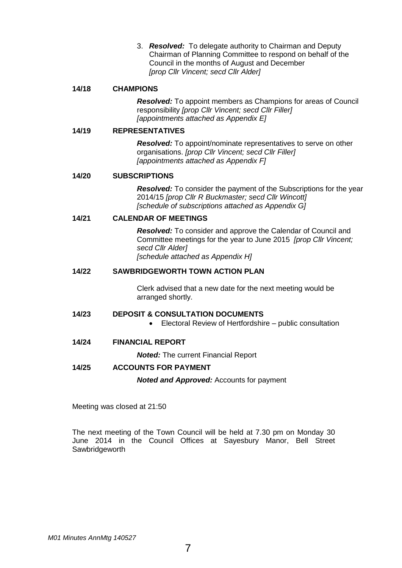3. *Resolved:* To delegate authority to Chairman and Deputy Chairman of Planning Committee to respond on behalf of the Council in the months of August and December *[prop Cllr Vincent; secd Cllr Alder]*

#### **14/18 CHAMPIONS**

*Resolved:* To appoint members as Champions for areas of Council responsibility *[prop Cllr Vincent; secd Cllr Filler] [appointments attached as Appendix E]*

#### **14/19 REPRESENTATIVES**

*Resolved:* To appoint/nominate representatives to serve on other organisations. *[prop Cllr Vincent; secd Cllr Filler] [appointments attached as Appendix F]*

#### **14/20 SUBSCRIPTIONS**

*Resolved:* To consider the payment of the Subscriptions for the year 2014/15 *[prop Cllr R Buckmaster; secd Cllr Wincott] [schedule of subscriptions attached as Appendix G]*

#### **14/21 CALENDAR OF MEETINGS**

*Resolved:* To consider and approve the Calendar of Council and Committee meetings for the year to June 2015 *[prop Cllr Vincent; secd Cllr Alder] [schedule attached as Appendix H]*

#### **14/22 SAWBRIDGEWORTH TOWN ACTION PLAN**

Clerk advised that a new date for the next meeting would be arranged shortly.

#### **14/23 DEPOSIT & CONSULTATION DOCUMENTS**

Electoral Review of Hertfordshire – public consultation

#### **14/24 FINANCIAL REPORT**

*Noted:* The current Financial Report

#### **14/25 ACCOUNTS FOR PAYMENT**

*Noted and Approved:* Accounts for payment

Meeting was closed at 21:50

The next meeting of the Town Council will be held at 7.30 pm on Monday 30 June 2014 in the Council Offices at Sayesbury Manor, Bell Street **Sawbridgeworth**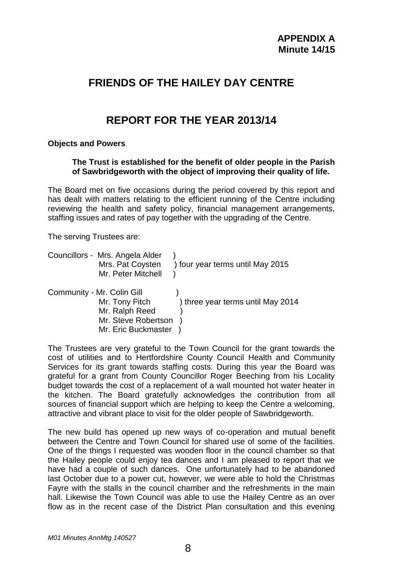# **FRIENDS OF THE HAILEY DAY CENTRE**

# **REPORT FOR THE YEAR 2013/14**

### **Objects and Powers**

**The Trust is established for the benefit of older people in the Parish of Sawbridgeworth with the object of improving their quality of life.**

The Board met on five occasions during the period covered by this report and has dealt with matters relating to the efficient running of the Centre including reviewing the health and safety policy, financial management arrangements, staffing issues and rates of pay together with the upgrading of the Centre.

The serving Trustees are:

| Councillors - Mrs. Angela Alder<br>Mrs. Pat Coysten<br>Mr. Peter Mitchell | ) four year terms until May 2015  |
|---------------------------------------------------------------------------|-----------------------------------|
| Community - Mr. Colin Gill<br>Mr. Tony Fitch<br>Mr. Ralph Reed            | ) three year terms until May 2014 |

Mr. Steve Robertson ) Mr. Eric Buckmaster )

The Trustees are very grateful to the Town Council for the grant towards the cost of utilities and to Hertfordshire County Council Health and Community Services for its grant towards staffing costs. During this year the Board was grateful for a grant from County Councillor Roger Beeching from his Locality budget towards the cost of a replacement of a wall mounted hot water heater in the kitchen. The Board gratefully acknowledges the contribution from all sources of financial support which are helping to keep the Centre a welcoming, attractive and vibrant place to visit for the older people of Sawbridgeworth.

The new build has opened up new ways of co-operation and mutual benefit between the Centre and Town Council for shared use of some of the facilities. One of the things I requested was wooden floor in the council chamber so that the Hailey people could enjoy tea dances and I am pleased to report that we have had a couple of such dances. One unfortunately had to be abandoned last October due to a power cut, however, we were able to hold the Christmas Fayre with the stalls in the council chamber and the refreshments in the main hall. Likewise the Town Council was able to use the Hailey Centre as an over flow as in the recent case of the District Plan consultation and this evening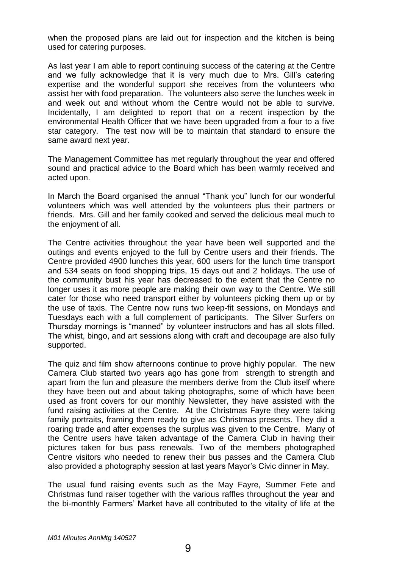when the proposed plans are laid out for inspection and the kitchen is being used for catering purposes.

As last year I am able to report continuing success of the catering at the Centre and we fully acknowledge that it is very much due to Mrs. Gill's catering expertise and the wonderful support she receives from the volunteers who assist her with food preparation. The volunteers also serve the lunches week in and week out and without whom the Centre would not be able to survive. Incidentally, I am delighted to report that on a recent inspection by the environmental Health Officer that we have been upgraded from a four to a five star category. The test now will be to maintain that standard to ensure the same award next year.

The Management Committee has met regularly throughout the year and offered sound and practical advice to the Board which has been warmly received and acted upon.

In March the Board organised the annual "Thank you" lunch for our wonderful volunteers which was well attended by the volunteers plus their partners or friends. Mrs. Gill and her family cooked and served the delicious meal much to the enjoyment of all.

The Centre activities throughout the year have been well supported and the outings and events enjoyed to the full by Centre users and their friends. The Centre provided 4900 lunches this year, 600 users for the lunch time transport and 534 seats on food shopping trips, 15 days out and 2 holidays. The use of the community bust his year has decreased to the extent that the Centre no longer uses it as more people are making their own way to the Centre. We still cater for those who need transport either by volunteers picking them up or by the use of taxis. The Centre now runs two keep-fit sessions, on Mondays and Tuesdays each with a full complement of participants. The Silver Surfers on Thursday mornings is "manned" by volunteer instructors and has all slots filled. The whist, bingo, and art sessions along with craft and decoupage are also fully supported.

The quiz and film show afternoons continue to prove highly popular. The new Camera Club started two years ago has gone from strength to strength and apart from the fun and pleasure the members derive from the Club itself where they have been out and about taking photographs, some of which have been used as front covers for our monthly Newsletter, they have assisted with the fund raising activities at the Centre. At the Christmas Fayre they were taking family portraits, framing them ready to give as Christmas presents. They did a roaring trade and after expenses the surplus was given to the Centre. Many of the Centre users have taken advantage of the Camera Club in having their pictures taken for bus pass renewals. Two of the members photographed Centre visitors who needed to renew their bus passes and the Camera Club also provided a photography session at last years Mayor's Civic dinner in May.

The usual fund raising events such as the May Fayre, Summer Fete and Christmas fund raiser together with the various raffles throughout the year and the bi-monthly Farmers' Market have all contributed to the vitality of life at the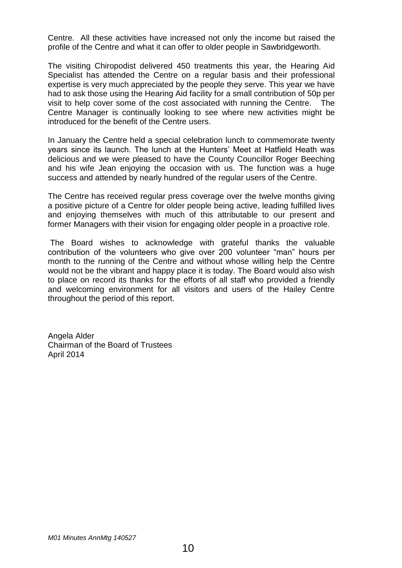Centre. All these activities have increased not only the income but raised the profile of the Centre and what it can offer to older people in Sawbridgeworth.

The visiting Chiropodist delivered 450 treatments this year, the Hearing Aid Specialist has attended the Centre on a regular basis and their professional expertise is very much appreciated by the people they serve. This year we have had to ask those using the Hearing Aid facility for a small contribution of 50p per visit to help cover some of the cost associated with running the Centre. The Centre Manager is continually looking to see where new activities might be introduced for the benefit of the Centre users.

In January the Centre held a special celebration lunch to commemorate twenty years since its launch. The lunch at the Hunters' Meet at Hatfield Heath was delicious and we were pleased to have the County Councillor Roger Beeching and his wife Jean enjoying the occasion with us. The function was a huge success and attended by nearly hundred of the regular users of the Centre.

The Centre has received regular press coverage over the twelve months giving a positive picture of a Centre for older people being active, leading fulfilled lives and enjoying themselves with much of this attributable to our present and former Managers with their vision for engaging older people in a proactive role.

The Board wishes to acknowledge with grateful thanks the valuable contribution of the volunteers who give over 200 volunteer "man" hours per month to the running of the Centre and without whose willing help the Centre would not be the vibrant and happy place it is today. The Board would also wish to place on record its thanks for the efforts of all staff who provided a friendly and welcoming environment for all visitors and users of the Hailey Centre throughout the period of this report.

Angela Alder Chairman of the Board of Trustees April 2014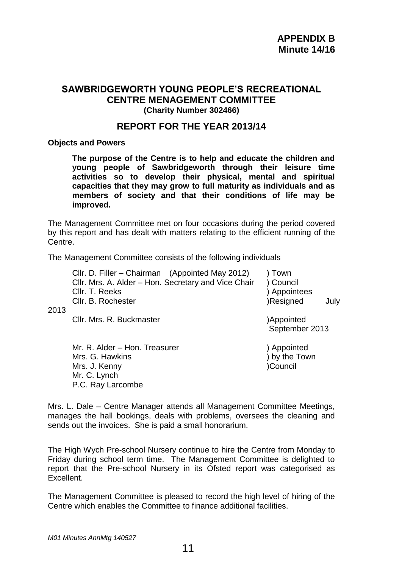## **SAWBRIDGEWORTH YOUNG PEOPLE'S RECREATIONAL CENTRE MENAGEMENT COMMITTEE (Charity Number 302466)**

## **REPORT FOR THE YEAR 2013/14**

**Objects and Powers**

**The purpose of the Centre is to help and educate the children and young people of Sawbridgeworth through their leisure time activities so to develop their physical, mental and spiritual capacities that they may grow to full maturity as individuals and as members of society and that their conditions of life may be improved.**

The Management Committee met on four occasions during the period covered by this report and has dealt with matters relating to the efficient running of the Centre.

The Management Committee consists of the following individuals

Cllr. D. Filler – Chairman (Appointed May 2012) ) Town Cllr. Mrs. A. Alder – Hon. Secretary and Vice Chair ) Council Cllr. T. Reeks ) Appointees Cllr. B. Rochester **1988** (Resigned July Cllr. Mrs. R. Buckmaster )Appointed

2013

Mr. R. Alder – Hon. Treasurer (and a set of the subset of the subset of the set of the set of the set of the s Mrs. G. Hawkins (a) a set of the South of the Mrs. J. Kenny (a) a set of the Mrs. J. Kenny (a) a set of the Mrs. J. Kenny (a) a set of the Mrs. J. Kenny (a) a set of the Mrs. J. Kenny (a) a set of the Mrs. J. Kenny (a) a s Mrs. J. Kenny Mr. C. Lynch P.C. Ray Larcombe

September 2013

Mrs. L. Dale – Centre Manager attends all Management Committee Meetings, manages the hall bookings, deals with problems, oversees the cleaning and sends out the invoices. She is paid a small honorarium.

The High Wych Pre-school Nursery continue to hire the Centre from Monday to Friday during school term time. The Management Committee is delighted to report that the Pre-school Nursery in its Ofsted report was categorised as Excellent.

The Management Committee is pleased to record the high level of hiring of the Centre which enables the Committee to finance additional facilities.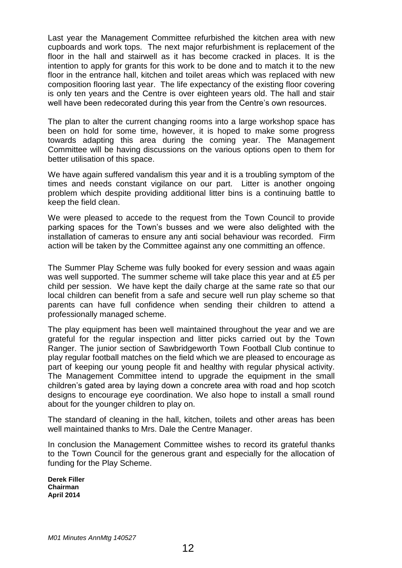Last year the Management Committee refurbished the kitchen area with new cupboards and work tops. The next major refurbishment is replacement of the floor in the hall and stairwell as it has become cracked in places. It is the intention to apply for grants for this work to be done and to match it to the new floor in the entrance hall, kitchen and toilet areas which was replaced with new composition flooring last year. The life expectancy of the existing floor covering is only ten years and the Centre is over eighteen years old. The hall and stair well have been redecorated during this year from the Centre's own resources.

The plan to alter the current changing rooms into a large workshop space has been on hold for some time, however, it is hoped to make some progress towards adapting this area during the coming year. The Management Committee will be having discussions on the various options open to them for better utilisation of this space.

We have again suffered vandalism this year and it is a troubling symptom of the times and needs constant vigilance on our part. Litter is another ongoing problem which despite providing additional litter bins is a continuing battle to keep the field clean.

We were pleased to accede to the request from the Town Council to provide parking spaces for the Town's busses and we were also delighted with the installation of cameras to ensure any anti social behaviour was recorded. Firm action will be taken by the Committee against any one committing an offence.

The Summer Play Scheme was fully booked for every session and waas again was well supported. The summer scheme will take place this year and at £5 per child per session. We have kept the daily charge at the same rate so that our local children can benefit from a safe and secure well run play scheme so that parents can have full confidence when sending their children to attend a professionally managed scheme.

The play equipment has been well maintained throughout the year and we are grateful for the regular inspection and litter picks carried out by the Town Ranger. The junior section of Sawbridgeworth Town Football Club continue to play regular football matches on the field which we are pleased to encourage as part of keeping our young people fit and healthy with regular physical activity. The Management Committee intend to upgrade the equipment in the small children's gated area by laying down a concrete area with road and hop scotch designs to encourage eye coordination. We also hope to install a small round about for the younger children to play on.

The standard of cleaning in the hall, kitchen, toilets and other areas has been well maintained thanks to Mrs. Dale the Centre Manager.

In conclusion the Management Committee wishes to record its grateful thanks to the Town Council for the generous grant and especially for the allocation of funding for the Play Scheme.

**Derek Filler Chairman April 2014**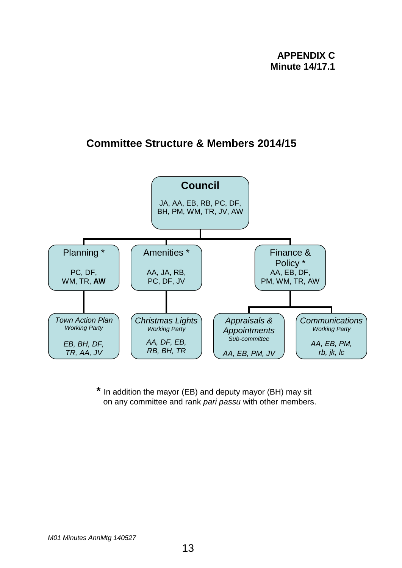# **Committee Structure & Members 2014/15**



**\*** In addition the mayor (EB) and deputy mayor (BH) may sit on any committee and rank *pari passu* with other members.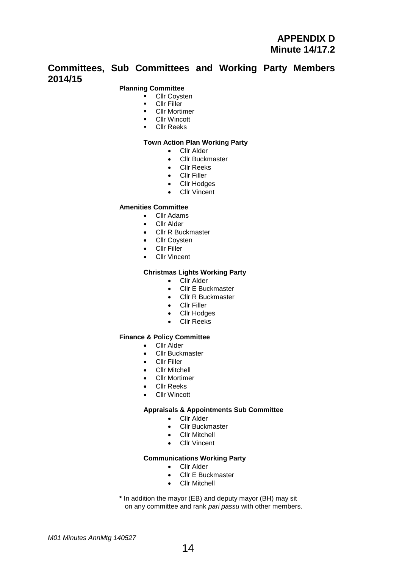## **Committees, Sub Committees and Working Party Members 2014/15**

#### **Planning Committee**

- **Cllr Coysten**
- **Cllr Filler**
- **•** Cllr Mortimer
- **-** Cllr Wincott
- Cllr Reeks

#### **Town Action Plan Working Party**

- Cllr Alder
- Cllr Buckmaster
- Cllr Reeks
- Cllr Filler
- Cllr Hodges
- Cllr Vincent

#### **Amenities Committee**

- Cllr Adams
- Cllr Alder
- Cllr R Buckmaster
- Cllr Coysten
- Cllr Filler
- Cllr Vincent

#### **Christmas Lights Working Party**

- Cllr Alder
- Cllr E Buckmaster
- Cllr R Buckmaster
- Cllr Filler
- Cllr Hodges
- Cllr Reeks

#### **Finance & Policy Committee**

- **•** Cllr Alder
- Cllr Buckmaster
- Cllr Filler
- Cllr Mitchell
- Cllr Mortimer
- Cllr Reeks
- Cllr Wincott

#### **Appraisals & Appointments Sub Committee**

- Cllr Alder
- Cllr Buckmaster
- Cllr Mitchell
- Cllr Vincent

#### **Communications Working Party**

- Cllr Alder
- Cllr E Buckmaster
- Cllr Mitchell

**\*** In addition the mayor (EB) and deputy mayor (BH) may sit on any committee and rank *pari passu* with other members.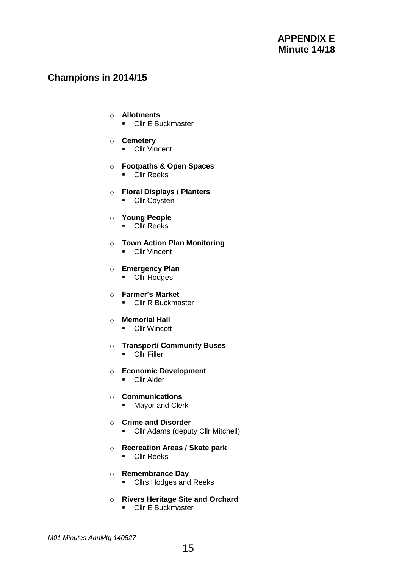# **Champions in 2014/15**

#### o **Allotments**

**-** Cllr E Buckmaster

#### o **Cemetery**

**-** Cllr Vincent

#### o **Footpaths & Open Spaces**

**Cllr Reeks** 

#### o **Floral Displays / Planters**

**-** Cllr Coysten

### o **Young People**

**Cllr** Reeks

#### o **Town Action Plan Monitoring**

**-** Cllr Vincent

#### o **Emergency Plan**

**Cllr** Hodges

#### o **Farmer's Market**

**Cllr R Buckmaster** 

#### o **Memorial Hall**

**-** Cllr Wincott

### o **Transport/ Community Buses**

**Clir Filler** 

### o **Economic Development**

**Cllr Alder** 

### o **Communications**

**Mayor and Clerk** 

#### o **Crime and Disorder**

• Cllr Adams (deputy Cllr Mitchell)

#### o **Recreation Areas / Skate park**

**Cllr Reeks** 

#### o **Remembrance Day**

**Cllrs Hodges and Reeks** 

# o **Rivers Heritage Site and Orchard**

**Cllr E Buckmaster**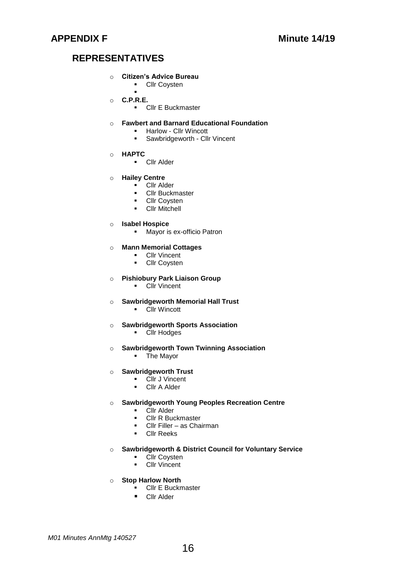# **REPRESENTATIVES**

#### o **Citizen's Advice Bureau**

- **-** Cllr Coysten
- $\blacksquare$ o **C.P.R.E.**
	- **Cllr E Buckmaster**
- o **Fawbert and Barnard Educational Foundation** 
	- **-** Harlow Cllr Wincott
	- **Sawbridgeworth Cllr Vincent**
- o **HAPTC**
	- **Cllr Alder**
- o **Hailey Centre**
	- **Cllr Alder**
	- **Cllr Buckmaster**
	- **Cllr Coysten**
	- **Cllr Mitchell**
- o **Isabel Hospice**
	- **Mayor is ex-officio Patron**

#### o **Mann Memorial Cottages**

- **Cllr Vincent**
- **-** Cllr Coysten

#### o **Pishiobury Park Liaison Group**

- **Cllr Vincent**
- o **Sawbridgeworth Memorial Hall Trust**
	- **-** Cllr Wincott
- o **Sawbridgeworth Sports Association**
	- **-** Cllr Hodges
- o **Sawbridgeworth Town Twinning Association**
	- **The Mayor**
- o **Sawbridgeworth Trust** 
	- Cllr J Vincent
	- **-** Cllr A Alder

#### o **Sawbridgeworth Young Peoples Recreation Centre**

- Cllr Alder<br>• Cllr R Bud
- Cllr R Buckmaster
- Cllr Filler as Chairman
- **Cllr Reeks**

#### o **Sawbridgeworth & District Council for Voluntary Service**

- **Cllr Coysten**
- **Cllr Vincent**
- o **Stop Harlow North**
	- **EXECULTE** Buckmaster
	- **Cllr Alder**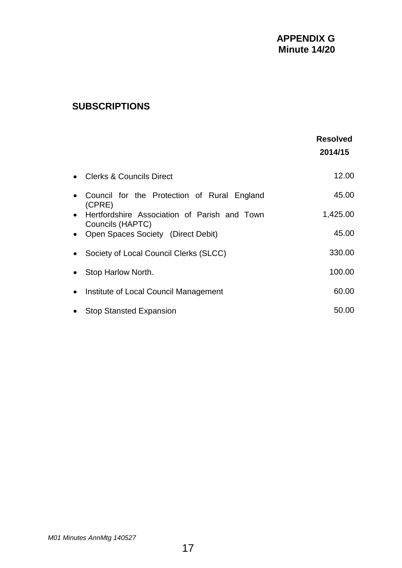# **SUBSCRIPTIONS**

|           |                                                          | <b>Resolved</b><br>2014/15 |
|-----------|----------------------------------------------------------|----------------------------|
|           | <b>Clerks &amp; Councils Direct</b>                      | 12.00                      |
|           | Council for the Protection of Rural England<br>(CPRE)    | 45.00                      |
|           | • Hertfordshire Association of Parish and Town           | 1,425.00                   |
|           | Councils (HAPTC)<br>• Open Spaces Society (Direct Debit) | 45.00                      |
|           | Society of Local Council Clerks (SLCC)                   | 330.00                     |
|           | Stop Harlow North.                                       | 100.00                     |
| $\bullet$ | Institute of Local Council Management                    | 60.00                      |
|           | <b>Stop Stansted Expansion</b>                           | 50.00                      |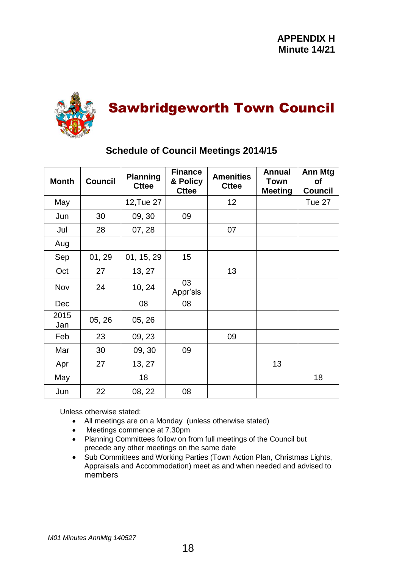

# Sawbridgeworth Town Council

| <b>Month</b> | <b>Council</b> | <b>Planning</b><br><b>Cttee</b> | <b>Finance</b><br>& Policy<br><b>Cttee</b> | <b>Amenities</b><br><b>Cttee</b> | <b>Annual</b><br>Town<br><b>Meeting</b> | Ann Mtg<br><b>of</b><br><b>Council</b> |
|--------------|----------------|---------------------------------|--------------------------------------------|----------------------------------|-----------------------------------------|----------------------------------------|
| May          |                | 12, Tue 27                      |                                            | 12                               |                                         | Tue 27                                 |
| Jun          | 30             | 09, 30                          | 09                                         |                                  |                                         |                                        |
| Jul          | 28             | 07, 28                          |                                            | 07                               |                                         |                                        |
| Aug          |                |                                 |                                            |                                  |                                         |                                        |
| Sep          | 01, 29         | 01, 15, 29                      | 15                                         |                                  |                                         |                                        |
| Oct          | 27             | 13, 27                          |                                            | 13                               |                                         |                                        |
| Nov          | 24             | 10, 24                          | 03<br>Appr'sls                             |                                  |                                         |                                        |
| <b>Dec</b>   |                | 08                              | 08                                         |                                  |                                         |                                        |
| 2015<br>Jan  | 05, 26         | 05, 26                          |                                            |                                  |                                         |                                        |
| Feb          | 23             | 09, 23                          |                                            | 09                               |                                         |                                        |
| Mar          | 30             | 09, 30                          | 09                                         |                                  |                                         |                                        |
| Apr          | 27             | 13, 27                          |                                            |                                  | 13                                      |                                        |
| May          |                | 18                              |                                            |                                  |                                         | 18                                     |
| Jun          | 22             | 08, 22                          | 08                                         |                                  |                                         |                                        |

# **Schedule of Council Meetings 2014/15**

Unless otherwise stated:

- All meetings are on a Monday (unless otherwise stated)
- Meetings commence at 7.30pm
- Planning Committees follow on from full meetings of the Council but precede any other meetings on the same date
- Sub Committees and Working Parties (Town Action Plan, Christmas Lights, Appraisals and Accommodation) meet as and when needed and advised to members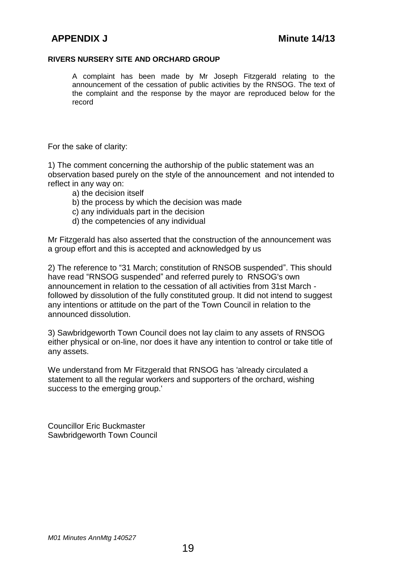#### **RIVERS NURSERY SITE AND ORCHARD GROUP**

A complaint has been made by Mr Joseph Fitzgerald relating to the announcement of the cessation of public activities by the RNSOG. The text of the complaint and the response by the mayor are reproduced below for the record

For the sake of clarity:

1) The comment concerning the authorship of the public statement was an observation based purely on the style of the announcement and not intended to reflect in any way on:

- a) the decision itself
- b) the process by which the decision was made
- c) any individuals part in the decision
- d) the competencies of any individual

Mr Fitzgerald has also asserted that the construction of the announcement was a group effort and this is accepted and acknowledged by us

2) The reference to "31 March; constitution of RNSOB suspended". This should have read "RNSOG suspended" and referred purely to RNSOG's own announcement in relation to the cessation of all activities from 31st March followed by dissolution of the fully constituted group. It did not intend to suggest any intentions or attitude on the part of the Town Council in relation to the announced dissolution.

3) Sawbridgeworth Town Council does not lay claim to any assets of RNSOG either physical or on-line, nor does it have any intention to control or take title of any assets.

We understand from Mr Fitzgerald that RNSOG has 'already circulated a statement to all the regular workers and supporters of the orchard, wishing success to the emerging group.'

Councillor Eric Buckmaster Sawbridgeworth Town Council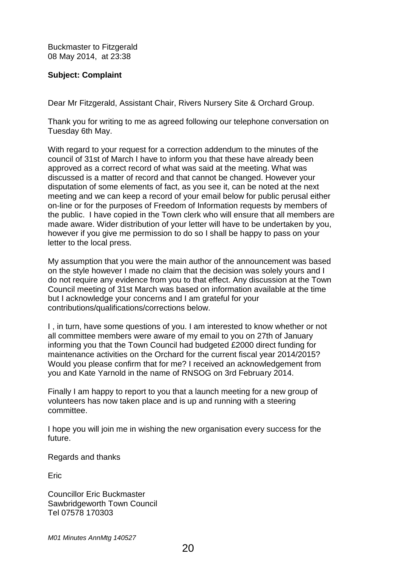Buckmaster to Fitzgerald 08 May 2014, at 23:38

### **Subject: Complaint**

Dear Mr Fitzgerald, Assistant Chair, Rivers Nursery Site & Orchard Group.

Thank you for writing to me as agreed following our telephone conversation on Tuesday 6th May.

With regard to your request for a correction addendum to the minutes of the council of 31st of March I have to inform you that these have already been approved as a correct record of what was said at the meeting. What was discussed is a matter of record and that cannot be changed. However your disputation of some elements of fact, as you see it, can be noted at the next meeting and we can keep a record of your email below for public perusal either on-line or for the purposes of Freedom of Information requests by members of the public. I have copied in the Town clerk who will ensure that all members are made aware. Wider distribution of your letter will have to be undertaken by you, however if you give me permission to do so I shall be happy to pass on your letter to the local press.

My assumption that you were the main author of the announcement was based on the style however I made no claim that the decision was solely yours and I do not require any evidence from you to that effect. Any discussion at the Town Council meeting of 31st March was based on information available at the time but I acknowledge your concerns and I am grateful for your contributions/qualifications/corrections below.

I , in turn, have some questions of you. I am interested to know whether or not all committee members were aware of my email to you on 27th of January informing you that the Town Council had budgeted £2000 direct funding for maintenance activities on the Orchard for the current fiscal year 2014/2015? Would you please confirm that for me? I received an acknowledgement from you and Kate Yarnold in the name of RNSOG on 3rd February 2014.

Finally I am happy to report to you that a launch meeting for a new group of volunteers has now taken place and is up and running with a steering committee.

I hope you will join me in wishing the new organisation every success for the future.

Regards and thanks

**Eric** 

Councillor Eric Buckmaster Sawbridgeworth Town Council Tel 07578 170303

*M01 Minutes AnnMtg 140527*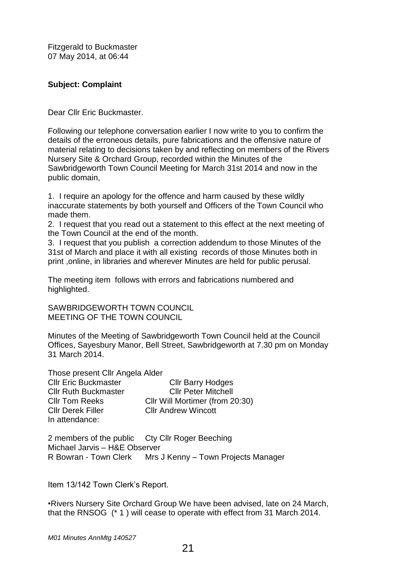Fitzgerald to Buckmaster 07 May 2014, at 06:44

### **Subject: Complaint**

Dear Cllr Eric Buckmaster.

Following our telephone conversation earlier I now write to you to confirm the details of the erroneous details, pure fabrications and the offensive nature of material relating to decisions taken by and reflecting on members of the Rivers Nursery Site & Orchard Group, recorded within the Minutes of the Sawbridgeworth Town Council Meeting for March 31st 2014 and now in the public domain,

1. I require an apology for the offence and harm caused by these wildly inaccurate statements by both yourself and Officers of the Town Council who made them.

2. I request that you read out a statement to this effect at the next meeting of the Town Council at the end of the month.

3. I request that you publish a correction addendum to those Minutes of the 31st of March and place it with all existing records of those Minutes both in print ,online, in libraries and wherever Minutes are held for public perusal.

The meeting item follows with errors and fabrications numbered and highlighted.

SAWBRIDGEWORTH TOWN COUNCIL MEETING OF THE TOWN COUNCIL

Minutes of the Meeting of Sawbridgeworth Town Council held at the Council Offices, Sayesbury Manor, Bell Street, Sawbridgeworth at 7.30 pm on Monday 31 March 2014.

Those present Cllr Angela Alder Cllr Eric Buckmaster Cllr Barry Hodges Cllr Ruth Buckmaster Cllr Peter Mitchell Cllr Tom Reeks Cllr Will Mortimer (from 20:30) Cllr Derek Filler Cllr Andrew Wincott In attendance:

2 members of the public Cty Cllr Roger Beeching Michael Jarvis – H&E Observer R Bowran - Town Clerk Mrs J Kenny – Town Projects Manager

Item 13/142 Town Clerk's Report.

•Rivers Nursery Site Orchard Group We have been advised, late on 24 March, that the RNSOG (\* 1 ) will cease to operate with effect from 31 March 2014.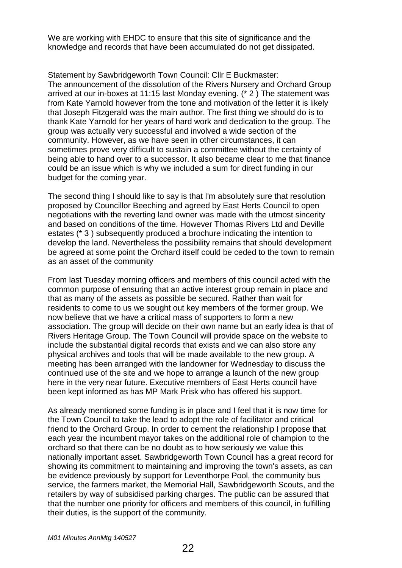We are working with EHDC to ensure that this site of significance and the knowledge and records that have been accumulated do not get dissipated.

Statement by Sawbridgeworth Town Council: Cllr E Buckmaster: The announcement of the dissolution of the Rivers Nursery and Orchard Group arrived at our in-boxes at 11:15 last Monday evening. (\* 2 ) The statement was from Kate Yarnold however from the tone and motivation of the letter it is likely that Joseph Fitzgerald was the main author. The first thing we should do is to thank Kate Yarnold for her years of hard work and dedication to the group. The group was actually very successful and involved a wide section of the community. However, as we have seen in other circumstances, it can sometimes prove very difficult to sustain a committee without the certainty of being able to hand over to a successor. It also became clear to me that finance could be an issue which is why we included a sum for direct funding in our budget for the coming year.

The second thing I should like to say is that I'm absolutely sure that resolution proposed by Councillor Beeching and agreed by East Herts Council to open negotiations with the reverting land owner was made with the utmost sincerity and based on conditions of the time. However Thomas Rivers Ltd and Deville estates (\* 3 ) subsequently produced a brochure indicating the intention to develop the land. Nevertheless the possibility remains that should development be agreed at some point the Orchard itself could be ceded to the town to remain as an asset of the community

From last Tuesday morning officers and members of this council acted with the common purpose of ensuring that an active interest group remain in place and that as many of the assets as possible be secured. Rather than wait for residents to come to us we sought out key members of the former group. We now believe that we have a critical mass of supporters to form a new association. The group will decide on their own name but an early idea is that of Rivers Heritage Group. The Town Council will provide space on the website to include the substantial digital records that exists and we can also store any physical archives and tools that will be made available to the new group. A meeting has been arranged with the landowner for Wednesday to discuss the continued use of the site and we hope to arrange a launch of the new group here in the very near future. Executive members of East Herts council have been kept informed as has MP Mark Prisk who has offered his support.

As already mentioned some funding is in place and I feel that it is now time for the Town Council to take the lead to adopt the role of facilitator and critical friend to the Orchard Group. In order to cement the relationship I propose that each year the incumbent mayor takes on the additional role of champion to the orchard so that there can be no doubt as to how seriously we value this nationally important asset. Sawbridgeworth Town Council has a great record for showing its commitment to maintaining and improving the town's assets, as can be evidence previously by support for Leventhorpe Pool, the community bus service, the farmers market, the Memorial Hall, Sawbridgeworth Scouts, and the retailers by way of subsidised parking charges. The public can be assured that that the number one priority for officers and members of this council, in fulfilling their duties, is the support of the community.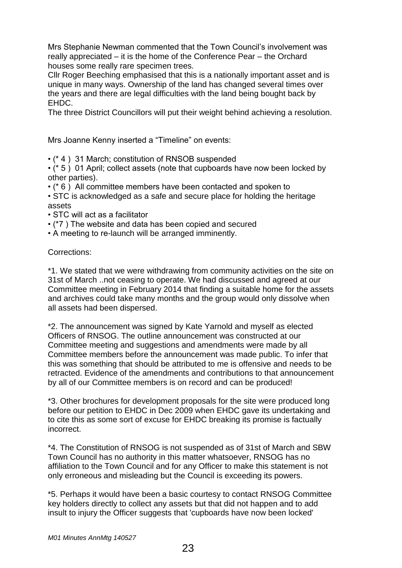Mrs Stephanie Newman commented that the Town Council's involvement was really appreciated – it is the home of the Conference Pear – the Orchard houses some really rare specimen trees.

Cllr Roger Beeching emphasised that this is a nationally important asset and is unique in many ways. Ownership of the land has changed several times over the years and there are legal difficulties with the land being bought back by EHDC.

The three District Councillors will put their weight behind achieving a resolution.

Mrs Joanne Kenny inserted a "Timeline" on events:

• (\* 4 ) 31 March; constitution of RNSOB suspended

• (\* 5 ) 01 April; collect assets (note that cupboards have now been locked by other parties).

• (\* 6 ) All committee members have been contacted and spoken to

• STC is acknowledged as a safe and secure place for holding the heritage assets

- STC will act as a facilitator
- (\*7 ) The website and data has been copied and secured
- A meeting to re-launch will be arranged imminently.

Corrections:

\*1. We stated that we were withdrawing from community activities on the site on 31st of March ..not ceasing to operate. We had discussed and agreed at our Committee meeting in February 2014 that finding a suitable home for the assets and archives could take many months and the group would only dissolve when all assets had been dispersed.

\*2. The announcement was signed by Kate Yarnold and myself as elected Officers of RNSOG. The outline announcement was constructed at our Committee meeting and suggestions and amendments were made by all Committee members before the announcement was made public. To infer that this was something that should be attributed to me is offensive and needs to be retracted. Evidence of the amendments and contributions to that announcement by all of our Committee members is on record and can be produced!

\*3. Other brochures for development proposals for the site were produced long before our petition to EHDC in Dec 2009 when EHDC gave its undertaking and to cite this as some sort of excuse for EHDC breaking its promise is factually incorrect.

\*4. The Constitution of RNSOG is not suspended as of 31st of March and SBW Town Council has no authority in this matter whatsoever, RNSOG has no affiliation to the Town Council and for any Officer to make this statement is not only erroneous and misleading but the Council is exceeding its powers.

\*5. Perhaps it would have been a basic courtesy to contact RNSOG Committee key holders directly to collect any assets but that did not happen and to add insult to injury the Officer suggests that 'cupboards have now been locked'